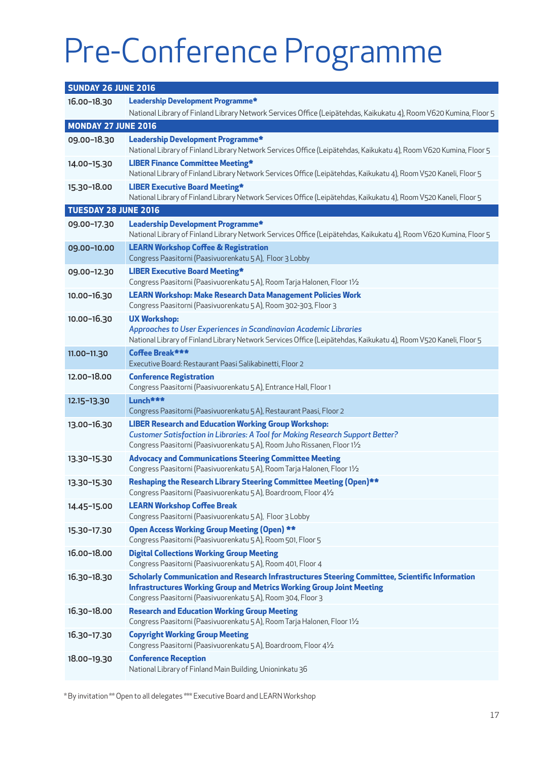# Pre-Conference Programme

| <b>SUNDAY 26 JUNE 2016</b> |                                                                                                                                                                                                                                                 |
|----------------------------|-------------------------------------------------------------------------------------------------------------------------------------------------------------------------------------------------------------------------------------------------|
| 16.00-18.30                | Leadership Development Programme*<br>National Library of Finland Library Network Services Office (Leipätehdas, Kaikukatu 4), Room V620 Kumina, Floor 5                                                                                          |
| <b>MONDAY 27 JUNE 2016</b> |                                                                                                                                                                                                                                                 |
| 09.00-18.30                | Leadership Development Programme*<br>National Library of Finland Library Network Services Office (Leipätehdas, Kaikukatu 4), Room V620 Kumina, Floor 5                                                                                          |
| 14.00-15.30                | <b>LIBER Finance Committee Meeting*</b><br>National Library of Finland Library Network Services Office (Leipätehdas, Kaikukatu 4), Room V520 Kaneli, Floor 5                                                                                    |
| 15.30-18.00                | <b>LIBER Executive Board Meeting*</b><br>National Library of Finland Library Network Services Office (Leipätehdas, Kaikukatu 4), Room V520 Kaneli, Floor 5                                                                                      |
| TUESDAY 28 JUNE 2016       |                                                                                                                                                                                                                                                 |
| 09.00-17.30                | Leadership Development Programme*<br>National Library of Finland Library Network Services Office (Leipätehdas, Kaikukatu 4), Room V620 Kumina, Floor 5                                                                                          |
| 09.00-10.00                | <b>LEARN Workshop Coffee &amp; Registration</b><br>Congress Paasitorni (Paasivuorenkatu 5 A), Floor 3 Lobby                                                                                                                                     |
| 09.00-12.30                | <b>LIBER Executive Board Meeting*</b><br>Congress Paasitorni (Paasivuorenkatu 5 A), Room Tarja Halonen, Floor 11/2                                                                                                                              |
| 10.00-16.30                | <b>LEARN Workshop: Make Research Data Management Policies Work</b><br>Congress Paasitorni (Paasivuorenkatu 5 A), Room 302-303, Floor 3                                                                                                          |
| 10.00-16.30                | <b>UX Workshop:</b><br>Approaches to User Experiences in Scandinavian Academic Libraries<br>National Library of Finland Library Network Services Office (Leipätehdas, Kaikukatu 4), Room V520 Kaneli, Floor 5                                   |
| 11.00-11.30                | Coffee Break***<br>Executive Board: Restaurant Paasi Salikabinetti, Floor 2                                                                                                                                                                     |
| 12.00-18.00                | <b>Conference Registration</b><br>Congress Paasitorni (Paasivuorenkatu 5 A), Entrance Hall, Floor 1                                                                                                                                             |
| 12.15-13.30                | Lunch***<br>Congress Paasitorni (Paasivuorenkatu 5 A), Restaurant Paasi, Floor 2                                                                                                                                                                |
| 13.00-16.30                | <b>LIBER Research and Education Working Group Workshop:</b><br><b>Customer Satisfaction in Libraries: A Tool for Making Research Support Better?</b><br>Congress Paasitorni (Paasivuorenkatu 5 A), Room Juho Rissanen, Floor 11/2               |
| 13.30-15.30                | <b>Advocacy and Communications Steering Committee Meeting</b><br>Congress Paasitorni (Paasivuorenkatu 5 A), Room Tarja Halonen, Floor 11/2                                                                                                      |
| 13.30-15.30                | Reshaping the Research Library Steering Committee Meeting (Open)**<br>Congress Paasitorni (Paasivuorenkatu 5 A), Boardroom, Floor 41/2                                                                                                          |
| 14.45-15.00                | <b>LEARN Workshop Coffee Break</b><br>Congress Paasitorni (Paasivuorenkatu 5 A), Floor 3 Lobby                                                                                                                                                  |
| 15.30-17.30                | <b>Open Access Working Group Meeting (Open) **</b><br>Congress Paasitorni (Paasivuorenkatu 5 A), Room 501, Floor 5                                                                                                                              |
| 16.00-18.00                | <b>Digital Collections Working Group Meeting</b><br>Congress Paasitorni (Paasivuorenkatu 5 A), Room 401, Floor 4                                                                                                                                |
| 16.30-18.30                | Scholarly Communication and Research Infrastructures Steering Committee, Scientific Information<br><b>Infrastructures Working Group and Metrics Working Group Joint Meeting</b><br>Congress Paasitorni (Paasivuorenkatu 5 A), Room 304, Floor 3 |
| 16.30-18.00                | <b>Research and Education Working Group Meeting</b><br>Congress Paasitorni (Paasivuorenkatu 5 A), Room Tarja Halonen, Floor 11/2                                                                                                                |
| 16.30-17.30                | <b>Copyright Working Group Meeting</b><br>Congress Paasitorni (Paasivuorenkatu 5 A), Boardroom, Floor 41/2                                                                                                                                      |
| 18.00-19.30                | <b>Conference Reception</b><br>National Library of Finland Main Building, Unioninkatu 36                                                                                                                                                        |

\* By invitation \*\* Open to all delegates \*\*\* Executive Board and LEARN Workshop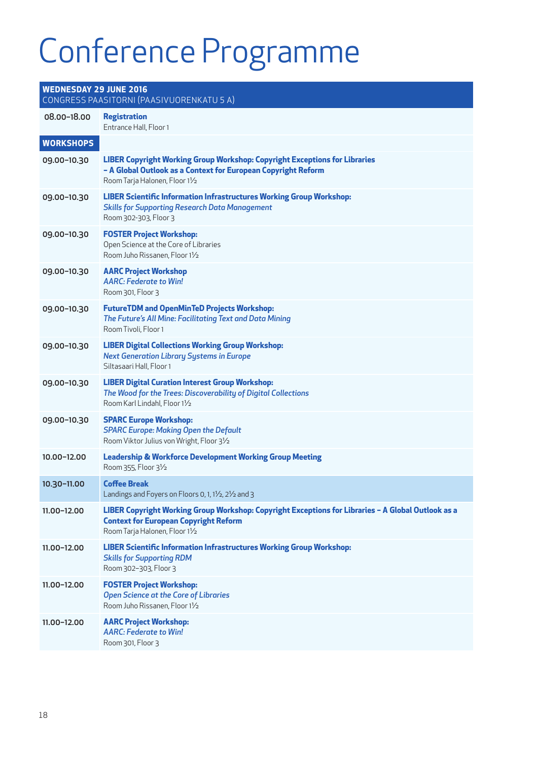## Conference Programme

#### **WEDNESDAY 29 JUNE 2016** CONGRESS PAASITORNI (PAASIVUORENKATU 5 A) 08.00–18.00 **Registration**  Entrance Hall, Floor 1 **WORKSHOPS** 09.00–10.30 **LIBER Copyright Working Group Workshop: Copyright Exceptions for Libraries – A Global Outlook as a Context for European Copyright Reform** Room Tarja Halonen, Floor 1½ 09.00–10.30 **LIBER Scientific Information Infrastructures Working Group Workshop:**  *Skills for Supporting Research Data Management* Room 302-303, Floor 3 09.00–10.30 **FOSTER Project Workshop:** Open Science at the Core of Libraries Room Juho Rissanen, Floor 1½ 09.00–10.30 **AARC Project Workshop** *AARC: Federate to Win!* Room 301, Floor 3 09.00–10.30 **FutureTDM and OpenMinTeD Projects Workshop:**  *The Future's All Mine: Facilitating Text and Data Mining* Room Tivoli, Floor 1 09.00–10.30 **LIBER Digital Collections Working Group Workshop:**  *Next Generation Library Systems in Europe* Siltasaari Hall, Floor 1 09.00–10.30 **LIBER Digital Curation Interest Group Workshop:** *The Wood for the Trees: Discoverability of Digital Collections* Room Karl Lindahl, Floor 1½ 09.00–10.30 **SPARC Europe Workshop:**  *SPARC Europe: Making Open the Default* Room Viktor Julius von Wright, Floor 3½ 10.00–12.00 **Leadership & Workforce Development Working Group Meeting** Room 355, Floor 3½ 10.30–11.00 **Coffee Break** Landings and Foyers on Floors 0, 1, 1½, 2½ and 3 11.00–12.00 **LIBER Copyright Working Group Workshop: Copyright Exceptions for Libraries – A Global Outlook as a Context for European Copyright Reform** Room Tarja Halonen, Floor 1½ 11.00–12.00 **LIBER Scientific Information Infrastructures Working Group Workshop:**  *Skills for Supporting RDM* Room 302–303, Floor 3 11.00–12.00 **FOSTER Project Workshop:**  *Open Science at the Core of Libraries* Room Juho Rissanen, Floor 1½ 11.00–12.00 **AARC Project Workshop:** *AARC: Federate to Win!* Room 301, Floor 3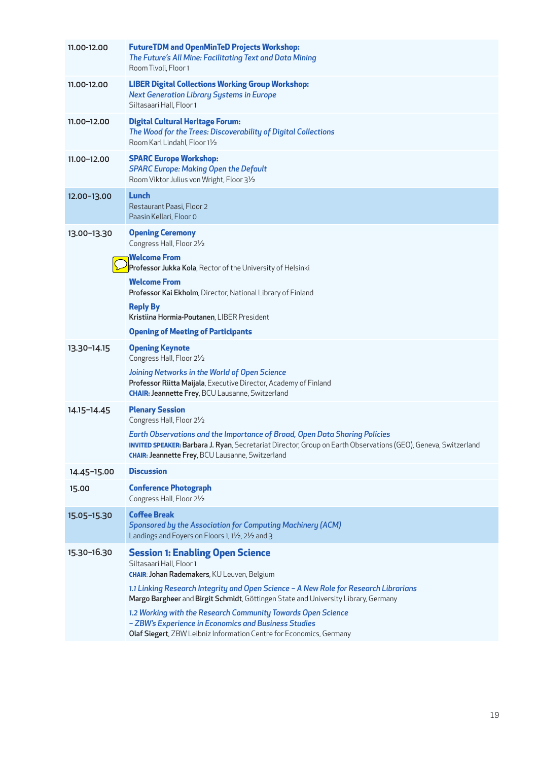| 11.00-12.00 | <b>FutureTDM and OpenMinTeD Projects Workshop:</b><br>The Future's All Mine: Facilitating Text and Data Mining<br>Room Tivoli, Floor 1                                                                                                                  |
|-------------|---------------------------------------------------------------------------------------------------------------------------------------------------------------------------------------------------------------------------------------------------------|
| 11.00-12.00 | <b>LIBER Digital Collections Working Group Workshop:</b><br><b>Next Generation Library Systems in Europe</b><br>Siltasaari Hall, Floor 1                                                                                                                |
| 11.00-12.00 | <b>Digital Cultural Heritage Forum:</b><br>The Wood for the Trees: Discoverability of Digital Collections<br>Room Karl Lindahl, Floor 11/2                                                                                                              |
| 11.00-12.00 | <b>SPARC Europe Workshop:</b><br><b>SPARC Europe: Making Open the Default</b><br>Room Viktor Julius von Wright, Floor 31/2                                                                                                                              |
| 12.00-13.00 | Lunch<br>Restaurant Paasi, Floor 2<br>Paasin Kellari, Floor 0                                                                                                                                                                                           |
| 13.00-13.30 | <b>Opening Ceremony</b><br>Congress Hall, Floor 21/2                                                                                                                                                                                                    |
|             | <b>Welcome From</b><br>Professor Jukka Kola, Rector of the University of Helsinki                                                                                                                                                                       |
|             | <b>Welcome From</b><br><b>Professor Kai Ekholm</b> , Director, National Library of Finland                                                                                                                                                              |
|             | <b>Reply By</b><br>Kristiina Hormia-Poutanen, LIBER President                                                                                                                                                                                           |
|             | <b>Opening of Meeting of Participants</b>                                                                                                                                                                                                               |
| 13.30-14.15 | <b>Opening Keynote</b><br>Congress Hall, Floor 21/2                                                                                                                                                                                                     |
|             | Joining Networks in the World of Open Science<br>Professor Riitta Maijala, Executive Director, Academy of Finland<br><b>CHAIR: Jeannette Frey, BCU Lausanne, Switzerland</b>                                                                            |
| 14.15-14.45 | <b>Plenary Session</b><br>Congress Hall, Floor 21/2                                                                                                                                                                                                     |
|             | Earth Observations and the Importance of Broad, Open Data Sharing Policies<br>INVITED SPEAKER: Barbara J. Ryan, Secretariat Director, Group on Earth Observations (GEO), Geneva, Switzerland<br><b>CHAIR: Jeannette Frey, BCU Lausanne, Switzerland</b> |
| 14.45-15.00 | <b>Discussion</b>                                                                                                                                                                                                                                       |
| 15.00       | <b>Conference Photograph</b><br>Congress Hall, Floor 21/2                                                                                                                                                                                               |
| 15.05-15.30 | <b>Coffee Break</b><br><b>Sponsored by the Association for Computing Machinery (ACM)</b><br>Landings and Foyers on Floors 1, 11/2, 21/2 and 3                                                                                                           |
| 15.30-16.30 | <b>Session 1: Enabling Open Science</b><br>Siltasaari Hall, Floor 1<br><b>CHAIR: Johan Rademakers</b> , KU Leuven, Belgium                                                                                                                              |
|             | 1.1 Linking Research Integrity and Open Science - A New Role for Research Librarians<br>Margo Bargheer and Birgit Schmidt, Göttingen State and University Library, Germany                                                                              |
|             | 1.2 Working with the Research Community Towards Open Science<br>- ZBW's Experience in Economics and Business Studies<br>Olaf Siegert, ZBW Leibniz Information Centre for Economics, Germany                                                             |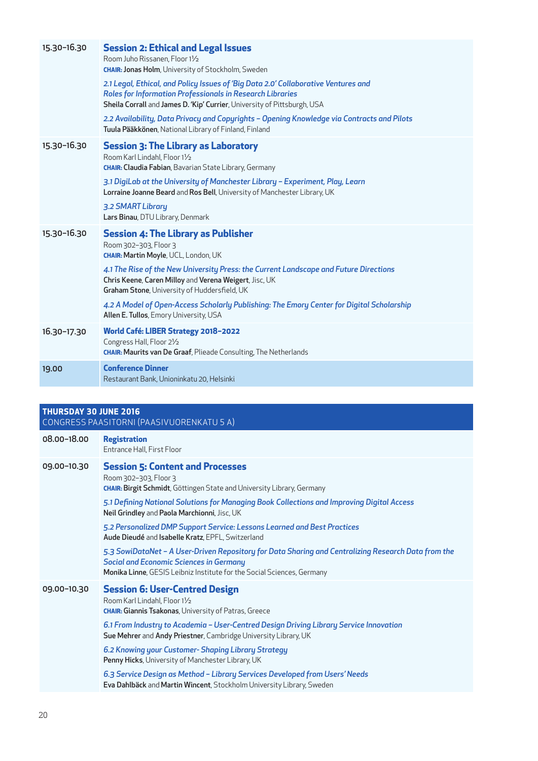| 15.30-16.30 | <b>Session 2: Ethical and Legal Issues</b><br>Room Juho Rissanen, Floor 11/2<br><b>CHAIR: Jonas Holm</b> , University of Stockholm, Sweden<br>2.1 Legal, Ethical, and Policy Issues of 'Big Data 2.0' Collaborative Ventures and<br><b>Roles for Information Professionals in Research Libraries</b><br>Sheila Corrall and James D. 'Kip' Currier, University of Pittsburgh, USA<br>2.2 Availability, Data Privacy and Copyrights - Opening Knowledge via Contracts and Pilots<br>Tuula Pääkkönen, National Library of Finland, Finland |
|-------------|-----------------------------------------------------------------------------------------------------------------------------------------------------------------------------------------------------------------------------------------------------------------------------------------------------------------------------------------------------------------------------------------------------------------------------------------------------------------------------------------------------------------------------------------|
| 15.30-16.30 | <b>Session 3: The Library as Laboratory</b><br>Room Karl Lindahl, Floor 11/2<br><b>CHAIR: Claudia Fabian</b> , Bavarian State Library, Germany<br>3.1 DigiLab at the University of Manchester Library - Experiment, Play, Learn<br>Lorraine Joanne Beard and Ros Bell, University of Manchester Library, UK<br>3.2 SMART Library<br>Lars Binau, DTU Library, Denmark                                                                                                                                                                    |
| 15.30-16.30 | <b>Session 4: The Library as Publisher</b><br>Room 302-303, Floor 3<br>CHAIR: Martin Moyle, UCL, London, UK<br>4.1 The Rise of the New University Press: the Current Landscape and Future Directions<br>Chris Keene, Caren Milloy and Verena Weigert, Jisc, UK<br>Graham Stone, University of Huddersfield, UK<br>4.2 A Model of Open-Access Scholarly Publishing: The Emory Center for Digital Scholarship<br>Allen E. Tullos, Emory University, USA                                                                                   |
| 16.30-17.30 | World Café: LIBER Strategy 2018-2022<br>Congress Hall, Floor 21/2<br><b>CHAIR: Maurits van De Graaf, Plieade Consulting, The Netherlands</b>                                                                                                                                                                                                                                                                                                                                                                                            |
| 19.00       | <b>Conference Dinner</b><br>Restaurant Bank, Unioninkatu 20, Helsinki                                                                                                                                                                                                                                                                                                                                                                                                                                                                   |

#### **THURSDAY 30 JUNE 2016** CONGRESS PAASITORNI (PAASIVUORENKATU 5 A)

| 08.00-18.00 | <b>Registration</b><br>Entrance Hall, First Floor                                                                                                                                                                                                |
|-------------|--------------------------------------------------------------------------------------------------------------------------------------------------------------------------------------------------------------------------------------------------|
| 09.00-10.30 | <b>Session 5: Content and Processes</b><br>Room 302-303, Floor 3<br><b>CHAIR: Birgit Schmidt</b> , Göttingen State and University Library, Germany<br>5.1 Defining National Solutions for Managing Book Collections and Improving Digital Access |
|             | Neil Grindley and Paola Marchionni, Jisc, UK                                                                                                                                                                                                     |
|             | 5.2 Personalized DMP Support Service: Lessons Learned and Best Practices<br>Aude Dieudé and Isabelle Kratz, EPFL, Switzerland                                                                                                                    |
|             | 5.3 SowiDataNet - A User-Driven Repository for Data Sharing and Centralizing Research Data from the<br><b>Social and Economic Sciences in Germany</b><br>Monika Linne, GESIS Leibniz Institute for the Social Sciences, Germany                  |
| 09.00-10.30 | <b>Session 6: User-Centred Design</b><br>Room Karl Lindahl, Floor 11/2<br><b>CHAIR: Giannis Tsakonas, University of Patras, Greece</b>                                                                                                           |
|             | 6.1 From Industry to Academia - User-Centred Design Driving Library Service Innovation<br>Sue Mehrer and Andy Priestner, Cambridge University Library, UK                                                                                        |
|             | 6.2 Knowing your Customer- Shaping Library Strategy<br>Penny Hicks, University of Manchester Library, UK                                                                                                                                         |
|             | 6.3 Service Design as Method - Library Services Developed from Users' Needs<br>Eva Dahlbäck and Martin Wincent, Stockholm University Library, Sweden                                                                                             |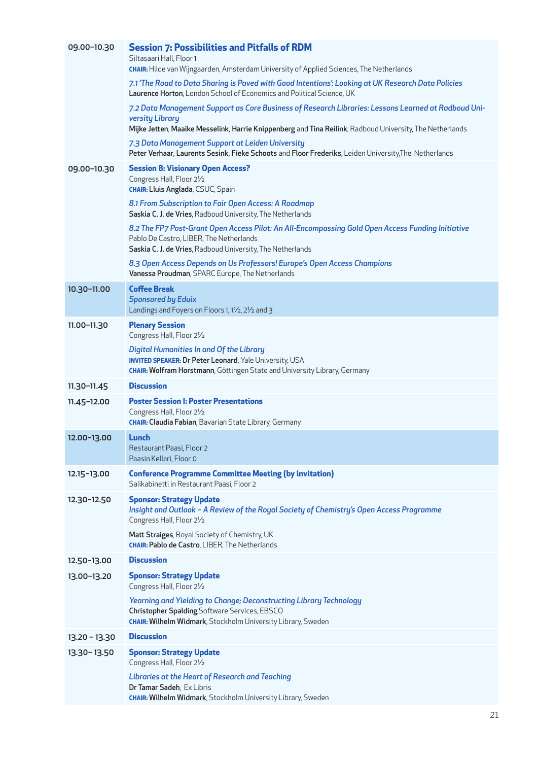| 09.00-10.30     | <b>Session 7: Possibilities and Pitfalls of RDM</b><br>Siltasaari Hall, Floor 1<br>CHAIR: Hilde van Wijngaarden, Amsterdam University of Applied Sciences, The Netherlands                                                         |
|-----------------|------------------------------------------------------------------------------------------------------------------------------------------------------------------------------------------------------------------------------------|
|                 | 7.1 'The Road to Data Sharing is Paved with Good Intentions': Looking at UK Research Data Policies<br>Laurence Horton, London School of Economics and Political Science, UK                                                        |
|                 | 7.2 Data Management Support as Core Business of Research Libraries: Lessons Learned at Radboud Uni-<br>versity Library<br>Mijke Jetten, Maaike Messelink, Harrie Knippenberg and Tina Reilink, Radboud University, The Netherlands |
|                 | 7.3 Data Management Support at Leiden University<br>Peter Verhaar, Laurents Sesink, Fieke Schoots and Floor Frederiks, Leiden University, The Netherlands                                                                          |
| 09.00-10.30     | <b>Session 8: Visionary Open Access?</b><br>Congress Hall, Floor 21/2<br><b>CHAIR: Lluis Anglada</b> , CSUC, Spain                                                                                                                 |
|                 | 8.1 From Subscription to Fair Open Access: A Roadmap<br>Saskia C. J. de Vries, Radboud University, The Netherlands                                                                                                                 |
|                 | 8.2 The FP7 Post-Grant Open Access Pilot: An All-Encompassing Gold Open Access Funding Initiative<br>Pablo De Castro, LIBER, The Netherlands<br>Saskia C. J. de Vries, Radboud University, The Netherlands                         |
|                 | 8.3 Open Access Depends on Us Professors! Europe's Open Access Champions<br>Vanessa Proudman, SPARC Europe, The Netherlands                                                                                                        |
| 10.30-11.00     | <b>Coffee Break</b><br><b>Sponsored by Eduix</b><br>Landings and Foyers on Floors 1, 11/2, 21/2 and 3                                                                                                                              |
| 11.00-11.30     | <b>Plenary Session</b><br>Congress Hall, Floor 21/2                                                                                                                                                                                |
|                 | Digital Humanities In and Of the Library<br><b>INVITED SPEAKER: Dr Peter Leonard, Yale University, USA</b><br><b>CHAIR: Wolfram Horstmann</b> , Göttingen State and University Library, Germany                                    |
| $11.30 - 11.45$ | <b>Discussion</b>                                                                                                                                                                                                                  |
| $11.45 - 12.00$ | <b>Poster Session I: Poster Presentations</b><br>Congress Hall, Floor 21/2<br><b>CHAIR: Claudia Fabian</b> , Bavarian State Library, Germany                                                                                       |
| 12.00-13.00     | Lunch<br>Restaurant Paasi, Floor 2<br>Paasin Kellari, Floor 0                                                                                                                                                                      |
| 12.15-13.00     | <b>Conference Programme Committee Meeting (by invitation)</b><br>Salikabinetti in Restaurant Paasi, Floor 2                                                                                                                        |
| 12.30-12.50     | <b>Sponsor: Strategy Update</b><br>Insight and Outlook - A Review of the Royal Society of Chemistry's Open Access Programme<br>Congress Hall, Floor 21/2                                                                           |
|                 | Matt Straiges, Royal Society of Chemistry, UK<br><b>CHAIR: Pablo de Castro, LIBER, The Netherlands</b>                                                                                                                             |
| 12.50-13.00     | <b>Discussion</b>                                                                                                                                                                                                                  |
| 13.00-13.20     | <b>Sponsor: Strategy Update</b><br>Congress Hall, Floor 21/2                                                                                                                                                                       |
|                 | Yearning and Yielding to Change; Deconstructing Library Technology<br>Christopher Spalding, Software Services, EBSCO<br><b>CHAIR: Wilhelm Widmark</b> , Stockholm University Library, Sweden                                       |
| $13.20 - 13.30$ | <b>Discussion</b>                                                                                                                                                                                                                  |
| 13.30-13.50     | <b>Sponsor: Strategy Update</b><br>Congress Hall, Floor 21/2                                                                                                                                                                       |
|                 | <b>Libraries at the Heart of Research and Teaching</b><br>Dr Tamar Sadeh, Ex Libris<br><b>CHAIR: Wilhelm Widmark</b> , Stockholm University Library, Sweden                                                                        |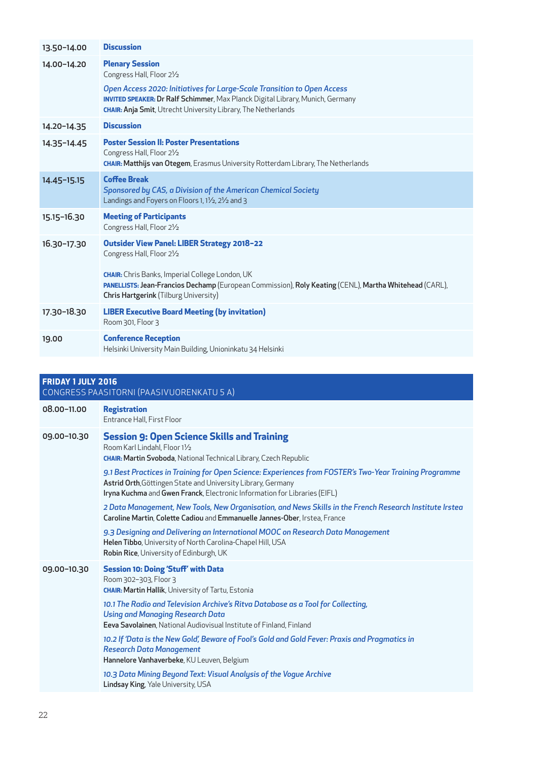| 13.50-14.00               | <b>Discussion</b>                                                                                                                                                                                                                                                                            |
|---------------------------|----------------------------------------------------------------------------------------------------------------------------------------------------------------------------------------------------------------------------------------------------------------------------------------------|
| 14.00-14.20               | <b>Plenary Session</b><br>Congress Hall, Floor 21/2                                                                                                                                                                                                                                          |
|                           | Open Access 2020: Initiatives for Large-Scale Transition to Open Access<br><b>INVITED SPEAKER: Dr Ralf Schimmer</b> , Max Planck Digital Library, Munich, Germany<br><b>CHAIR: Anja Smit</b> , Utrecht University Library, The Netherlands                                                   |
| 14.20-14.35               | <b>Discussion</b>                                                                                                                                                                                                                                                                            |
| 14.35-14.45               | <b>Poster Session II: Poster Presentations</b><br>Congress Hall, Floor 21/2<br><b>CHAIR: Matthijs van Otegem</b> , Erasmus University Rotterdam Library, The Netherlands                                                                                                                     |
| 14.45-15.15               | <b>Coffee Break</b><br>Sponsored by CAS, a Division of the American Chemical Society<br>Landings and Foyers on Floors 1, 11/2, 21/2 and 3                                                                                                                                                    |
| 15.15-16.30               | <b>Meeting of Participants</b><br>Congress Hall, Floor 21/2                                                                                                                                                                                                                                  |
| 16.30-17.30               | <b>Outsider View Panel: LIBER Strategy 2018-22</b><br>Congress Hall, Floor 21/2<br><b>CHAIR:</b> Chris Banks, Imperial College London, UK<br>PANELLISTS: Jean-Francios Dechamp (European Commission), Roly Keating (CENL), Martha Whitehead (CARL),<br>Chris Hartgerink (Tilburg University) |
| 17.30-18.30               | <b>LIBER Executive Board Meeting (by invitation)</b><br>Room 301, Floor 3                                                                                                                                                                                                                    |
| 19.00                     | <b>Conference Reception</b><br>Helsinki University Main Building, Unioninkatu 34 Helsinki                                                                                                                                                                                                    |
|                           |                                                                                                                                                                                                                                                                                              |
| <b>FRIDAY 1 JULY 2016</b> | CONGRESS PAASITORNI (PAASIVUORENKATU 5 A)                                                                                                                                                                                                                                                    |
| 08.00-11.00               | <b>Registration</b><br><b>Entrance Hall, First Floor</b>                                                                                                                                                                                                                                     |

| 09.00-10.30 | <b>Session 9: Open Science Skills and Training</b><br>Room Karl Lindahl, Floor 11/2<br><b>CHAIR: Martin Svoboda</b> , National Technical Library, Czech Republic                                                                                                                                                                       |
|-------------|----------------------------------------------------------------------------------------------------------------------------------------------------------------------------------------------------------------------------------------------------------------------------------------------------------------------------------------|
|             | 9.1 Best Practices in Training for Open Science: Experiences from FOSTER's Two-Year Training Programme<br>Astrid Orth, Göttingen State and University Library, Germany<br>Iryna Kuchma and Gwen Franck, Electronic Information for Libraries (EIFL)                                                                                    |
|             | 2 Data Management, New Tools, New Organisation, and News Skills in the French Research Institute Irstea<br>Caroline Martin, Colette Cadiou and Emmanuelle Jannes-Ober, Irstea, France                                                                                                                                                  |
|             | 9.3 Designing and Delivering an International MOOC on Research Data Management<br>Helen Tibbo, University of North Carolina-Chapel Hill, USA<br>Robin Rice, University of Edinburgh, UK                                                                                                                                                |
| 09.00-10.30 | <b>Session 10: Doing 'Stuff' with Data</b><br>Room 302-303, Floor 3<br><b>CHAIR: Martin Hallik, University of Tartu, Estonia</b><br>10.1 The Radio and Television Archive's Ritva Database as a Tool for Collecting,<br><b>Using and Managing Research Data</b><br>Eeva Savolainen, National Audiovisual Institute of Finland, Finland |
|             | 10.2 If 'Data is the New Gold', Beware of Fool's Gold and Gold Fever: Praxis and Pragmatics in<br><b>Research Data Management</b><br>Hannelore Vanhaverbeke, KU Leuven, Belgium                                                                                                                                                        |
|             | 10.3 Data Mining Beyond Text: Visual Analysis of the Vogue Archive<br>Lindsay King, Yale University, USA                                                                                                                                                                                                                               |